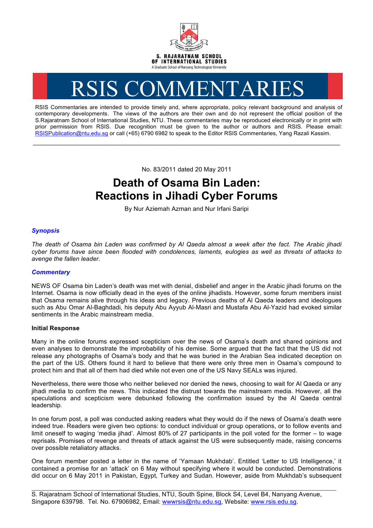

# RSIS COMMENTARIES

RSIS Commentaries are intended to provide timely and, where appropriate, policy relevant background and analysis of contemporary developments. The views of the authors are their own and do not represent the official position of the S.Rajaratnam School of International Studies, NTU. These commentaries may be reproduced electronically or in print with prior permission from RSIS. Due recognition must be given to the author or authors and RSIS. Please email: RSISPublication@ntu.edu.sg or call (+65) 6790 6982 to speak to the Editor RSIS Commentaries, Yang Razali Kassim.

No. 83/2011 dated 20 May 2011

**\_\_\_\_\_\_\_\_\_\_\_\_\_\_\_\_\_\_\_\_\_\_\_\_\_\_\_\_\_\_\_\_\_\_\_\_\_\_\_\_\_\_\_\_\_\_\_\_\_\_\_\_\_\_\_\_\_\_\_\_\_\_\_\_\_\_\_\_\_\_\_\_\_\_\_\_\_\_\_\_\_\_\_\_\_\_\_\_\_\_\_\_\_\_\_\_\_\_**

# **Death of Osama Bin Laden: Reactions in Jihadi Cyber Forums**

By Nur Aziemah Azman and Nur Irfani Saripi

## *Synopsis*

*The death of Osama bin Laden was confirmed by Al Qaeda almost a week after the fact. The Arabic jihadi cyber forums have since been flooded with condolences, laments, eulogies as well as threats of attacks to avenge the fallen leader.*

### *Commentary*

NEWS OF Osama bin Laden's death was met with denial, disbelief and anger in the Arabic jihadi forums on the Internet. Osama is now officially dead in the eyes of the online jihadists. However, some forum members insist that Osama remains alive through his ideas and legacy. Previous deaths of Al Qaeda leaders and ideologues such as Abu Omar Al-Baghdadi, his deputy Abu Ayyub Al-Masri and Mustafa Abu Al-Yazid had evoked similar sentiments in the Arabic mainstream media.

#### **Initial Response**

Many in the online forums expressed scepticism over the news of Osama's death and shared opinions and even analyses to demonstrate the improbability of his demise. Some argued that the fact that the US did not release any photographs of Osama's body and that he was buried in the Arabian Sea indicated deception on the part of the US. Others found it hard to believe that there were only three men in Osama's compound to protect him and that all of them had died while not even one of the US Navy SEALs was injured.

Nevertheless, there were those who neither believed nor denied the news, choosing to wait for Al Qaeda or any jihadi media to confirm the news. This indicated the distrust towards the mainstream media. However, all the speculations and scepticism were debunked following the confirmation issued by the Al Qaeda central leadership.

In one forum post, a poll was conducted asking readers what they would do if the news of Osama's death were indeed true. Readers were given two options: to conduct individual or group operations, or to follow events and limit oneself to waging 'media jihad'. Almost 80% of 27 participants in the poll voted for the former – to wage reprisals. Promises of revenge and threats of attack against the US were subsequently made, raising concerns over possible retaliatory attacks.

One forum member posted a letter in the name of 'Yamaan Mukhdab'. Entitled 'Letter to US Intelligence,' it contained a promise for an 'attack' on 6 May without specifying where it would be conducted. Demonstrations did occur on 6 May 2011 in Pakistan, Egypt, Turkey and Sudan. However, aside from Mukhdab's subsequent